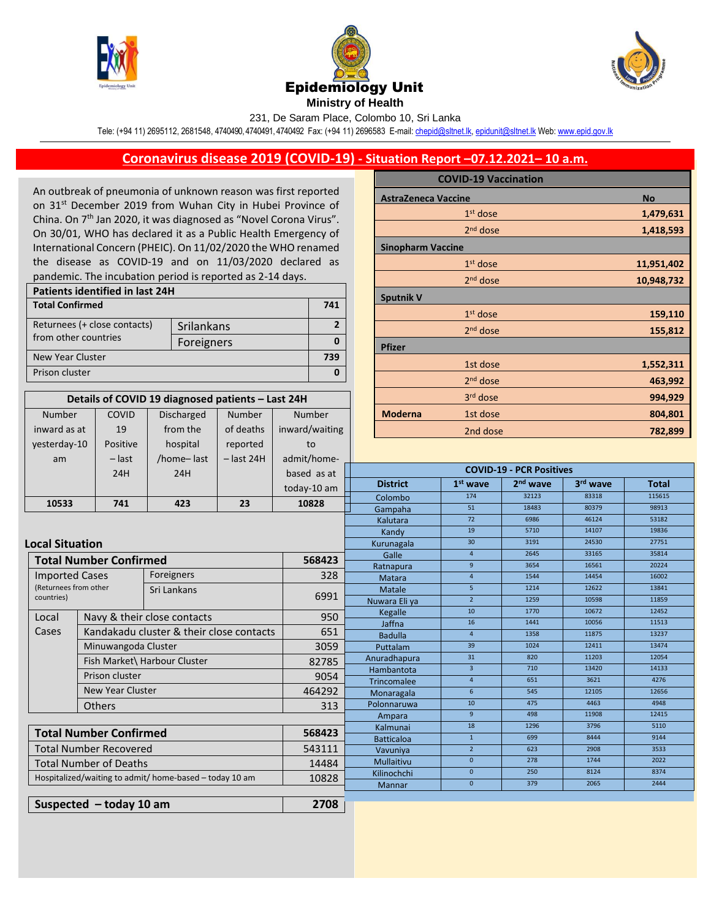

Number inward as at COVID 19





231, De Saram Place, Colombo 10, Sri Lanka

Tele: (+94 11) 2695112, 2681548, 4740490, 4740491, 4740492 Fax: (+94 11) 2696583 E-mail[: chepid@sltnet.lk,](mailto:chepi@sltnet.lk) [epidunit@sltnet.lk](mailto:epidunit@sltnet.lk) Web[: www.epid.gov.lk](http://www.epid.gov.lk/)

## **Coronavirus disease 2019 (COVID-19) - Situation Report –07.12.2021– 10 a.m.**

An outbreak of pneumonia of unknown reason was first reported on 31<sup>st</sup> December 2019 from Wuhan City in Hubei Province of China. On 7<sup>th</sup> Jan 2020, it was diagnosed as "Novel Corona Virus". On 30/01, WHO has declared it as a Public Health Emergency of International Concern (PHEIC). On 11/02/2020 the WHO renamed the disease as COVID-19 and on 11/03/2020 declared as pandemic. The incubation period is reported as 2-14 days.

| Patients identified in last 24H |            |  |  |  |
|---------------------------------|------------|--|--|--|
| <b>Total Confirmed</b>          |            |  |  |  |
| Returnees (+ close contacts)    | Srilankans |  |  |  |
| from other countries            | Foreigners |  |  |  |
| New Year Cluster                |            |  |  |  |
| Prison cluster                  |            |  |  |  |

**Details of COVID 19 diagnosed patients – Last 24H**

Number

of deaths | inward/waiting

Number

Discharged from the

|                            | <b>COVID-19 Vaccination</b> |            |
|----------------------------|-----------------------------|------------|
| <b>AstraZeneca Vaccine</b> |                             | <b>No</b>  |
|                            | $1st$ dose                  | 1,479,631  |
|                            | $2nd$ dose                  | 1,418,593  |
| <b>Sinopharm Vaccine</b>   |                             |            |
|                            | $1st$ dose                  | 11,951,402 |
|                            | 2 <sup>nd</sup> dose        | 10,948,732 |
| <b>Sputnik V</b>           |                             |            |
|                            | $1st$ dose                  | 159,110    |
|                            | $2nd$ dose                  | 155,812    |
| <b>Pfizer</b>              |                             |            |
|                            | 1st dose                    | 1,552,311  |
|                            | 2 <sup>nd</sup> dose        | 463,992    |
|                            | 3rd dose                    | 994,929    |
| <b>Moderna</b>             | 1st dose                    | 804,801    |
|                            | 2nd dose                    | 782,899    |

| yesterday-10                                            | Positive                                          | hospital                    | reported          | to                        |                                 |                 |                      |                |              |
|---------------------------------------------------------|---------------------------------------------------|-----------------------------|-------------------|---------------------------|---------------------------------|-----------------|----------------------|----------------|--------------|
| am                                                      | $-$ last                                          | /home-last                  | $-$ last 24H      | admit/home-               |                                 |                 |                      |                |              |
|                                                         | 24H                                               | 24H                         |                   | based as at               | <b>COVID-19 - PCR Positives</b> |                 |                      |                |              |
|                                                         |                                                   |                             |                   | today-10 am               | <b>District</b>                 | $1st$ wave      | 2 <sup>nd</sup> wave | 3rd wave       | <b>Total</b> |
|                                                         |                                                   |                             |                   | 10828                     | Colombo                         | 174             | 32123                | 83318          | 115615       |
| 10533                                                   | 741                                               | 423                         | 23                |                           | Gampaha                         | 51              | 18483                | 80379          | 98913        |
|                                                         |                                                   |                             |                   |                           | Kalutara                        | 72              | 6986                 | 46124          | 53182        |
|                                                         |                                                   |                             |                   |                           |                                 | 19              | 5710                 | 14107          | 19836        |
|                                                         | <b>Local Situation</b>                            |                             |                   |                           | Kurunagala                      | 30 <sub>o</sub> | 3191                 | 24530          | 27751        |
|                                                         | <b>Total Number Confirmed</b><br>568423           |                             |                   | Galle                     | $\overline{4}$                  | 2645            | 33165                | 35814          |              |
|                                                         |                                                   |                             |                   |                           | Ratnapura                       | $\overline{9}$  | 3654                 | 16561          | 20224        |
| <b>Imported Cases</b>                                   |                                                   | Foreigners                  |                   | 328                       | Matara                          | $\overline{4}$  | 1544                 | 14454          | 16002        |
| (Returnees from other<br>countries)                     |                                                   | Sri Lankans                 |                   | 6991                      | Matale                          | 5 <sup>1</sup>  | 1214                 | 12622          | 13841        |
|                                                         |                                                   |                             |                   | Nuwara Eliya              | 2 <sup>1</sup>                  | 1259            | 10598                | 11859          |              |
| Local                                                   |                                                   | Navy & their close contacts |                   | 950                       | Kegalle                         | 10              | 1770                 | 10672          | 12452        |
|                                                         | Cases<br>Kandakadu cluster & their close contacts |                             | 651               | Jaffna                    | 16<br>$\overline{4}$            | 1441<br>1358    | 10056<br>11875       | 11513<br>13237 |              |
|                                                         |                                                   |                             |                   | <b>Badulla</b>            | 39                              | 1024            | 12411                | 13474          |              |
|                                                         | Minuwangoda Cluster<br>3059                       |                             |                   | Puttalam                  | 31                              | 820             | 11203                | 12054          |              |
|                                                         | Fish Market\ Harbour Cluster                      |                             | 82785             | Anuradhapura              | $\overline{3}$                  | 710             | 13420                | 14133          |              |
|                                                         | Prison cluster                                    |                             | 9054              | Hambantota<br>Trincomalee | $\overline{4}$                  | 651             | 3621                 | 4276           |              |
|                                                         | New Year Cluster                                  |                             | 464292            | Monaragala                | 6                               | 545             | 12105                | 12656          |              |
|                                                         |                                                   |                             |                   | 313                       | Polonnaruwa                     | 10              | 475                  | 4463           | 4948         |
|                                                         | <b>Others</b>                                     |                             |                   |                           | Ampara                          | $\overline{9}$  | 498                  | 11908          | 12415        |
|                                                         |                                                   |                             |                   | Kalmunai                  | 18                              | 1296            | 3796                 | 5110           |              |
| <b>Total Number Confirmed</b>                           |                                                   | 568423                      | <b>Batticaloa</b> | $\mathbf{1}$              | 699                             | 8444            | 9144                 |                |              |
| <b>Total Number Recovered</b>                           |                                                   | 543111                      | Vavuniya          | $2^{\circ}$               | 623                             | 2908            | 3533                 |                |              |
| <b>Total Number of Deaths</b>                           |                                                   |                             |                   | 14484                     | Mullaitivu                      | $\mathbf{0}$    | 278                  | 1744           | 2022         |
|                                                         |                                                   |                             | Kilinochchi       | $\mathbf 0$               | 250                             | 8124            | 8374                 |                |              |
| Hospitalized/waiting to admit/ home-based - today 10 am |                                                   | 10828                       | Mannar            | $\mathbf{0}$              | 379                             | 2065            | 2444                 |                |              |
|                                                         |                                                   |                             |                   |                           |                                 |                 |                      |                |              |
| Suspected $-$ today 10 am<br>2708                       |                                                   |                             |                   |                           |                                 |                 |                      |                |              |